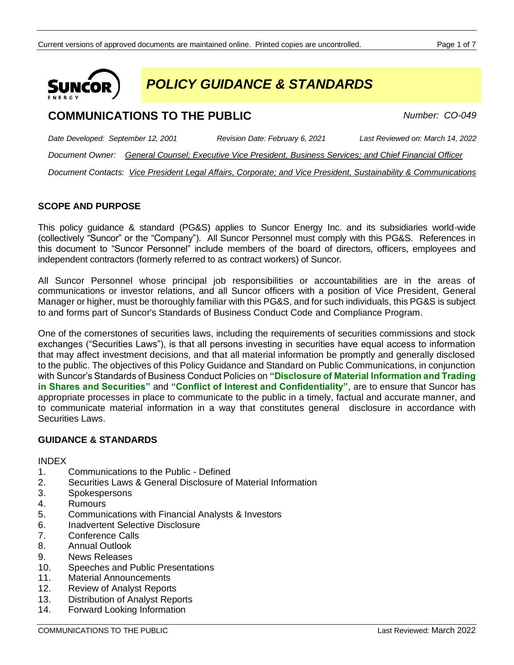

*POLICY GUIDANCE & STANDARDS*

# **COMMUNICATIONS TO THE PUBLIC** *Number: CO-049*

*Date Developed: September 12, 2001 Revision Date: February 6, 2021 Last Reviewed on: March 14, 2022 Document Owner: General Counsel; Executive Vice President, Business Services; and Chief Financial Officer Document Contacts: Vice President Legal Affairs, Corporate; and Vice President, Sustainability & Communications*

# **SCOPE AND PURPOSE**

This policy guidance & standard (PG&S) applies to Suncor Energy Inc. and its subsidiaries world-wide (collectively "Suncor" or the "Company"). All Suncor Personnel must comply with this PG&S. References in this document to "Suncor Personnel" include members of the board of directors, officers, employees and independent contractors (formerly referred to as contract workers) of Suncor.

All Suncor Personnel whose principal job responsibilities or accountabilities are in the areas of communications or investor relations, and all Suncor officers with a position of Vice President, General Manager or higher, must be thoroughly familiar with this PG&S, and for such individuals, this PG&S is subject to and forms part of Suncor's Standards of Business Conduct Code and Compliance Program.

One of the cornerstones of securities laws, including the requirements of securities commissions and stock exchanges ("Securities Laws"), is that all persons investing in securities have equal access to information that may affect investment decisions, and that all material information be promptly and generally disclosed to the public. The objectives of this Policy Guidance and Standard on Public Communications, in conjunction with Suncor's Standards of Business Conduct Policies on **"Disclosure of Material Information and Trading in Shares and Securities"** and **"Conflict of Interest and Confidentiality"**, are to ensure that Suncor has appropriate processes in place to communicate to the public in a timely, factual and accurate manner, and to communicate material information in a way that constitutes general disclosure in accordance with Securities Laws.

# **GUIDANCE & STANDARDS**

INDEX

- 1. Communications to the Public Defined
- 2. Securities Laws & General Disclosure of Material Information
- 3. Spokespersons
- 4. Rumours
- 5. Communications with Financial Analysts & Investors
- 6. Inadvertent Selective Disclosure
- 7. Conference Calls
- 8. Annual Outlook
- 9. News Releases
- 10. Speeches and Public Presentations
- 11. Material Announcements
- 12. Review of Analyst Reports
- 13. Distribution of Analyst Reports
- 14. Forward Looking Information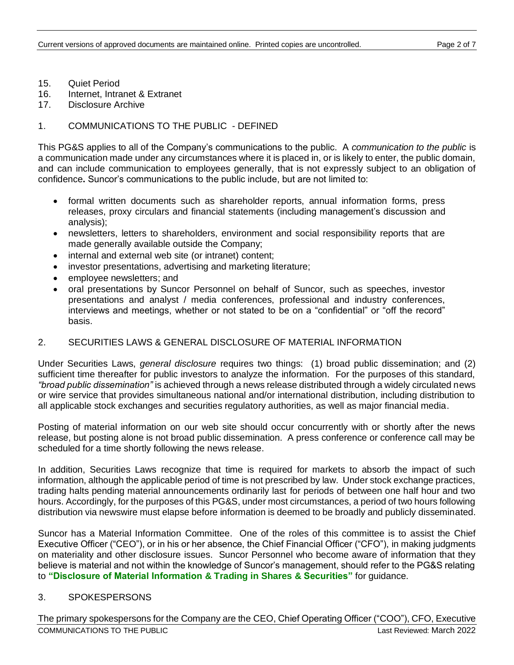- 15. Quiet Period
- 16. Internet, Intranet & Extranet
- 17. Disclosure Archive

### 1. COMMUNICATIONS TO THE PUBLIC - DEFINED

This PG&S applies to all of the Company's communications to the public. A *communication to the public* is a communication made under any circumstances where it is placed in, or is likely to enter, the public domain, and can include communication to employees generally, that is not expressly subject to an obligation of confidence**.** Suncor's communications to the public include, but are not limited to:

- formal written documents such as shareholder reports, annual information forms, press releases, proxy circulars and financial statements (including management's discussion and analysis);
- newsletters, letters to shareholders, environment and social responsibility reports that are made generally available outside the Company;
- internal and external web site (or intranet) content;
- investor presentations, advertising and marketing literature;
- employee newsletters; and
- oral presentations by Suncor Personnel on behalf of Suncor, such as speeches, investor presentations and analyst / media conferences, professional and industry conferences, interviews and meetings, whether or not stated to be on a "confidential" or "off the record" basis.

### 2. SECURITIES LAWS & GENERAL DISCLOSURE OF MATERIAL INFORMATION

Under Securities Laws, *general disclosure* requires two things: (1) broad public dissemination; and (2) sufficient time thereafter for public investors to analyze the information. For the purposes of this standard, *"broad public dissemination"* is achieved through a news release distributed through a widely circulated news or wire service that provides simultaneous national and/or international distribution, including distribution to all applicable stock exchanges and securities regulatory authorities, as well as major financial media.

Posting of material information on our web site should occur concurrently with or shortly after the news release, but posting alone is not broad public dissemination. A press conference or conference call may be scheduled for a time shortly following the news release.

In addition, Securities Laws recognize that time is required for markets to absorb the impact of such information, although the applicable period of time is not prescribed by law. Under stock exchange practices, trading halts pending material announcements ordinarily last for periods of between one half hour and two hours. Accordingly, for the purposes of this PG&S, under most circumstances, a period of two hours following distribution via newswire must elapse before information is deemed to be broadly and publicly disseminated.

Suncor has a Material Information Committee. One of the roles of this committee is to assist the Chief Executive Officer ("CEO"), or in his or her absence, the Chief Financial Officer ("CFO"), in making judgments on materiality and other disclosure issues. Suncor Personnel who become aware of information that they believe is material and not within the knowledge of Suncor's management, should refer to the PG&S relating to **"Disclosure of Material Information & Trading in Shares & Securities"** for guidance.

#### 3. SPOKESPERSONS

COMMUNICATIONS TO THE PUBLIC Last Reviewed: March 2022 The primary spokespersons for the Company are the CEO, Chief Operating Officer ("COO"), CFO, Executive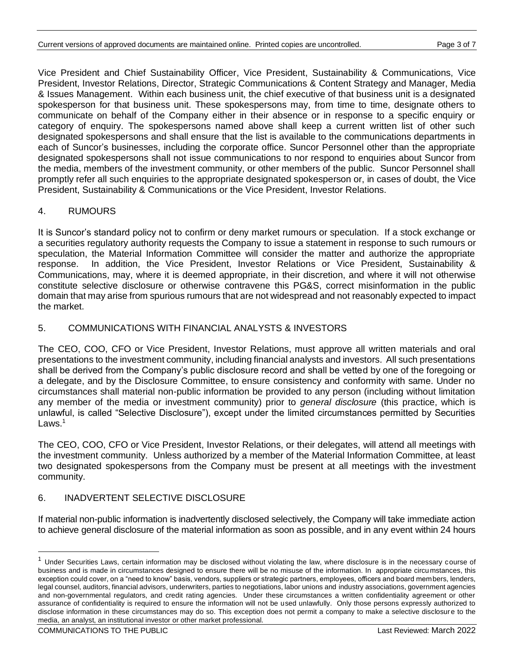Vice President and Chief Sustainability Officer, Vice President, Sustainability & Communications, Vice President, Investor Relations, Director, Strategic Communications & Content Strategy and Manager, Media & Issues Management. Within each business unit, the chief executive of that business unit is a designated spokesperson for that business unit. These spokespersons may, from time to time, designate others to communicate on behalf of the Company either in their absence or in response to a specific enquiry or category of enquiry. The spokespersons named above shall keep a current written list of other such designated spokespersons and shall ensure that the list is available to the communications departments in each of Suncor's businesses, including the corporate office. Suncor Personnel other than the appropriate designated spokespersons shall not issue communications to nor respond to enquiries about Suncor from the media, members of the investment community, or other members of the public. Suncor Personnel shall promptly refer all such enquiries to the appropriate designated spokesperson or, in cases of doubt, the Vice President, Sustainability & Communications or the Vice President, Investor Relations.

### 4. RUMOURS

It is Suncor's standard policy not to confirm or deny market rumours or speculation. If a stock exchange or a securities regulatory authority requests the Company to issue a statement in response to such rumours or speculation, the Material Information Committee will consider the matter and authorize the appropriate response. In addition, the Vice President, Investor Relations or Vice President, Sustainability & Communications, may, where it is deemed appropriate, in their discretion, and where it will not otherwise constitute selective disclosure or otherwise contravene this PG&S, correct misinformation in the public domain that may arise from spurious rumours that are not widespread and not reasonably expected to impact the market.

#### 5. COMMUNICATIONS WITH FINANCIAL ANALYSTS & INVESTORS

The CEO, COO, CFO or Vice President, Investor Relations, must approve all written materials and oral presentations to the investment community, including financial analysts and investors. All such presentations shall be derived from the Company's public disclosure record and shall be vetted by one of the foregoing or a delegate, and by the Disclosure Committee, to ensure consistency and conformity with same. Under no circumstances shall material non-public information be provided to any person (including without limitation any member of the media or investment community) prior to *general disclosure* (this practice, which is unlawful, is called "Selective Disclosure"), except under the limited circumstances permitted by Securities Laws. $1$ 

The CEO, COO, CFO or Vice President, Investor Relations, or their delegates, will attend all meetings with the investment community. Unless authorized by a member of the Material Information Committee, at least two designated spokespersons from the Company must be present at all meetings with the investment community.

# 6. INADVERTENT SELECTIVE DISCLOSURE

If material non-public information is inadvertently disclosed selectively, the Company will take immediate action to achieve general disclosure of the material information as soon as possible, and in any event within 24 hours

<sup>&</sup>lt;sup>1</sup> Under Securities Laws, certain information may be disclosed without violating the law, where disclosure is in the necessary course of business and is made in circumstances designed to ensure there will be no misuse of the information. In appropriate circumstances, this exception could cover, on a "need to know" basis, vendors, suppliers or strategic partners, employees, officers and board members, lenders, legal counsel, auditors, financial advisors, underwriters, parties to negotiations, labor unions and industry associations, government agencies and non-governmental regulators, and credit rating agencies. Under these circumstances a written confidentiality agreement or other assurance of confidentiality is required to ensure the information will not be used unlawfully. Only those persons expressly authorized to disclose information in these circumstances may do so. This exception does not permit a company to make a selective disclosure to the media, an analyst, an institutional investor or other market professional.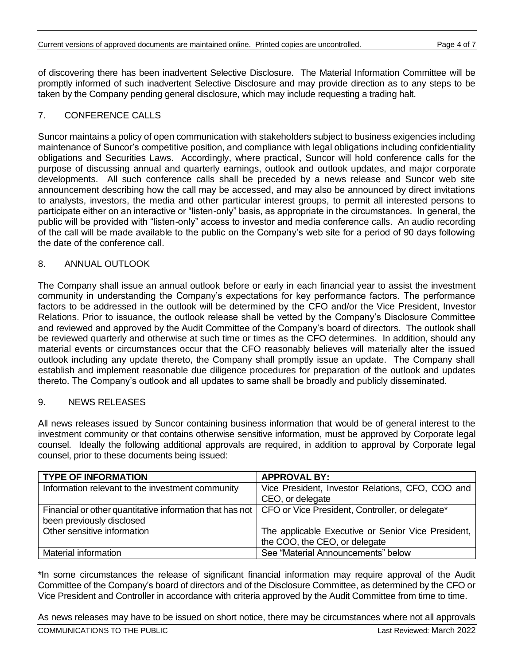of discovering there has been inadvertent Selective Disclosure. The Material Information Committee will be promptly informed of such inadvertent Selective Disclosure and may provide direction as to any steps to be taken by the Company pending general disclosure, which may include requesting a trading halt.

#### 7. CONFERENCE CALLS

Suncor maintains a policy of open communication with stakeholders subject to business exigencies including maintenance of Suncor's competitive position, and compliance with legal obligations including confidentiality obligations and Securities Laws. Accordingly, where practical, Suncor will hold conference calls for the purpose of discussing annual and quarterly earnings, outlook and outlook updates, and major corporate developments. All such conference calls shall be preceded by a news release and Suncor web site announcement describing how the call may be accessed, and may also be announced by direct invitations to analysts, investors, the media and other particular interest groups, to permit all interested persons to participate either on an interactive or "listen-only" basis, as appropriate in the circumstances. In general, the public will be provided with "listen-only" access to investor and media conference calls. An audio recording of the call will be made available to the public on the Company's web site for a period of 90 days following the date of the conference call.

### 8. ANNUAL OUTLOOK

The Company shall issue an annual outlook before or early in each financial year to assist the investment community in understanding the Company's expectations for key performance factors. The performance factors to be addressed in the outlook will be determined by the CFO and/or the Vice President, Investor Relations. Prior to issuance, the outlook release shall be vetted by the Company's Disclosure Committee and reviewed and approved by the Audit Committee of the Company's board of directors. The outlook shall be reviewed quarterly and otherwise at such time or times as the CFO determines. In addition, should any material events or circumstances occur that the CFO reasonably believes will materially alter the issued outlook including any update thereto, the Company shall promptly issue an update. The Company shall establish and implement reasonable due diligence procedures for preparation of the outlook and updates thereto. The Company's outlook and all updates to same shall be broadly and publicly disseminated.

#### 9. NEWS RELEASES

All news releases issued by Suncor containing business information that would be of general interest to the investment community or that contains otherwise sensitive information, must be approved by Corporate legal counsel. Ideally the following additional approvals are required, in addition to approval by Corporate legal counsel, prior to these documents being issued:

| <b>TYPE OF INFORMATION</b>                                                                                 | <b>APPROVAL BY:</b>                                |
|------------------------------------------------------------------------------------------------------------|----------------------------------------------------|
| Information relevant to the investment community                                                           | Vice President, Investor Relations, CFO, COO and   |
|                                                                                                            | CEO, or delegate                                   |
| Financial or other quantitative information that has not   CFO or Vice President, Controller, or delegate* |                                                    |
| been previously disclosed                                                                                  |                                                    |
| Other sensitive information                                                                                | The applicable Executive or Senior Vice President, |
|                                                                                                            | the COO, the CEO, or delegate                      |
| Material information                                                                                       | See "Material Announcements" below                 |

\*In some circumstances the release of significant financial information may require approval of the Audit Committee of the Company's board of directors and of the Disclosure Committee, as determined by the CFO or Vice President and Controller in accordance with criteria approved by the Audit Committee from time to time.

As news releases may have to be issued on short notice, there may be circumstances where not all approvals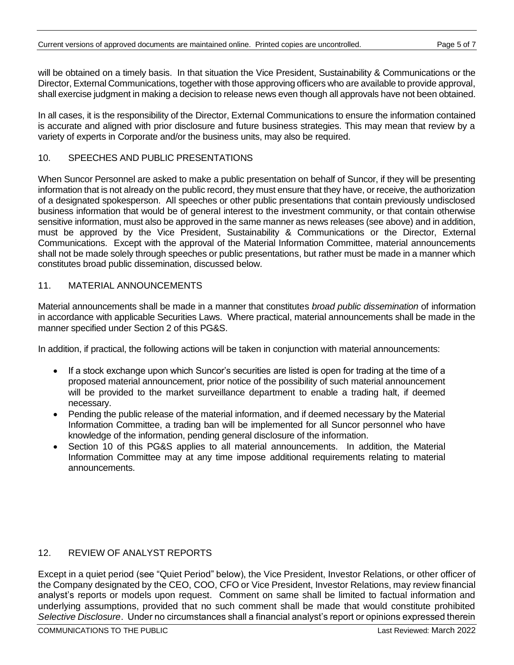will be obtained on a timely basis. In that situation the Vice President, Sustainability & Communications or the Director, External Communications, together with those approving officers who are available to provide approval, shall exercise judgment in making a decision to release news even though all approvals have not been obtained.

In all cases, it is the responsibility of the Director, External Communications to ensure the information contained is accurate and aligned with prior disclosure and future business strategies. This may mean that review by a variety of experts in Corporate and/or the business units, may also be required.

#### 10. SPEECHES AND PUBLIC PRESENTATIONS

When Suncor Personnel are asked to make a public presentation on behalf of Suncor, if they will be presenting information that is not already on the public record, they must ensure that they have, or receive, the authorization of a designated spokesperson. All speeches or other public presentations that contain previously undisclosed business information that would be of general interest to the investment community, or that contain otherwise sensitive information, must also be approved in the same manner as news releases (see above) and in addition, must be approved by the Vice President, Sustainability & Communications or the Director, External Communications. Except with the approval of the Material Information Committee, material announcements shall not be made solely through speeches or public presentations, but rather must be made in a manner which constitutes broad public dissemination, discussed below.

#### 11. MATERIAL ANNOUNCEMENTS

Material announcements shall be made in a manner that constitutes *broad public dissemination* of information in accordance with applicable Securities Laws. Where practical, material announcements shall be made in the manner specified under Section 2 of this PG&S.

In addition, if practical, the following actions will be taken in conjunction with material announcements:

- If a stock exchange upon which Suncor's securities are listed is open for trading at the time of a proposed material announcement, prior notice of the possibility of such material announcement will be provided to the market surveillance department to enable a trading halt, if deemed necessary.
- Pending the public release of the material information, and if deemed necessary by the Material Information Committee, a trading ban will be implemented for all Suncor personnel who have knowledge of the information, pending general disclosure of the information.
- Section 10 of this PG&S applies to all material announcements. In addition, the Material Information Committee may at any time impose additional requirements relating to material announcements.

#### 12. REVIEW OF ANALYST REPORTS

Except in a quiet period (see "Quiet Period" below), the Vice President, Investor Relations, or other officer of the Company designated by the CEO, COO, CFO or Vice President, Investor Relations, may review financial analyst's reports or models upon request. Comment on same shall be limited to factual information and underlying assumptions, provided that no such comment shall be made that would constitute prohibited *Selective Disclosure*. Under no circumstances shall a financial analyst's report or opinions expressed therein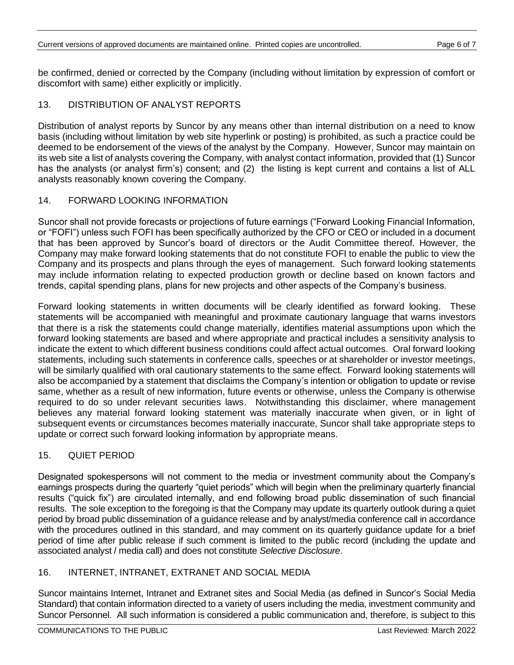be confirmed, denied or corrected by the Company (including without limitation by expression of comfort or discomfort with same) either explicitly or implicitly.

### 13. DISTRIBUTION OF ANALYST REPORTS

Distribution of analyst reports by Suncor by any means other than internal distribution on a need to know basis (including without limitation by web site hyperlink or posting) is prohibited, as such a practice could be deemed to be endorsement of the views of the analyst by the Company. However, Suncor may maintain on its web site a list of analysts covering the Company, with analyst contact information, provided that (1) Suncor has the analysts (or analyst firm's) consent; and (2) the listing is kept current and contains a list of ALL analysts reasonably known covering the Company.

#### 14. FORWARD LOOKING INFORMATION

Suncor shall not provide forecasts or projections of future earnings ("Forward Looking Financial Information, or "FOFI") unless such FOFI has been specifically authorized by the CFO or CEO or included in a document that has been approved by Suncor's board of directors or the Audit Committee thereof. However, the Company may make forward looking statements that do not constitute FOFI to enable the public to view the Company and its prospects and plans through the eyes of management. Such forward looking statements may include information relating to expected production growth or decline based on known factors and trends, capital spending plans, plans for new projects and other aspects of the Company's business.

Forward looking statements in written documents will be clearly identified as forward looking. These statements will be accompanied with meaningful and proximate cautionary language that warns investors that there is a risk the statements could change materially, identifies material assumptions upon which the forward looking statements are based and where appropriate and practical includes a sensitivity analysis to indicate the extent to which different business conditions could affect actual outcomes. Oral forward looking statements, including such statements in conference calls, speeches or at shareholder or investor meetings, will be similarly qualified with oral cautionary statements to the same effect. Forward looking statements will also be accompanied by a statement that disclaims the Company's intention or obligation to update or revise same, whether as a result of new information, future events or otherwise, unless the Company is otherwise required to do so under relevant securities laws. Notwithstanding this disclaimer, where management believes any material forward looking statement was materially inaccurate when given, or in light of subsequent events or circumstances becomes materially inaccurate, Suncor shall take appropriate steps to update or correct such forward looking information by appropriate means.

# 15. QUIET PERIOD

Designated spokespersons will not comment to the media or investment community about the Company's earnings prospects during the quarterly "quiet periods" which will begin when the preliminary quarterly financial results ("quick fix") are circulated internally, and end following broad public dissemination of such financial results. The sole exception to the foregoing is that the Company may update its quarterly outlook during a quiet period by broad public dissemination of a guidance release and by analyst/media conference call in accordance with the procedures outlined in this standard, and may comment on its quarterly guidance update for a brief period of time after public release if such comment is limited to the public record (including the update and associated analyst / media call) and does not constitute *Selective Disclosure*.

#### 16. INTERNET, INTRANET, EXTRANET AND SOCIAL MEDIA

Suncor maintains Internet, Intranet and Extranet sites and Social Media (as defined in Suncor's Social Media Standard) that contain information directed to a variety of users including the media, investment community and Suncor Personnel. All such information is considered a public communication and, therefore, is subject to this